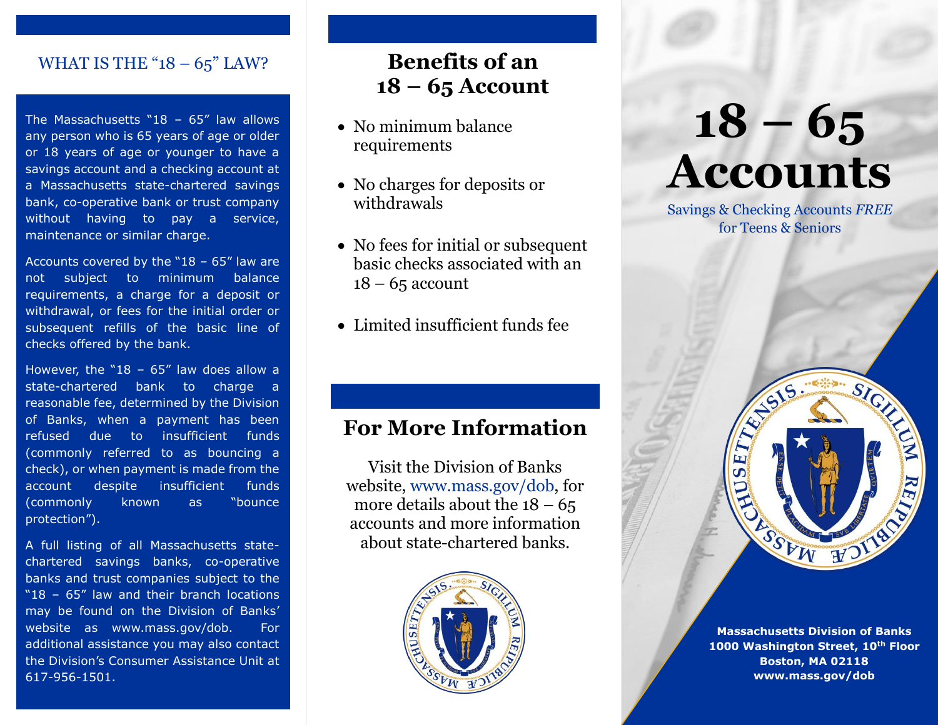# WHAT IS THE " $18 - 65$ " LAW?

The Massachusetts "18 -  $65$ " law allows any person who is 65 years of age or older or 18 years of age or younger to have a savings account and a checking account at a Massachusetts state-chartered savings bank, co-operative bank or trust company without having to pay a service, maintenance or similar charge.

Accounts covered by the "18  $-65$ " law are not subject to minimum balance requirements, a charge for a deposit or withdrawal, or fees for the initial order or subsequent refills of the basic line of checks offered by the bank.

However, the "18 -  $65''$  law does allow a state-chartered bank to charge a reasonable fee, determined by the Division of Banks, when a payment has been refused due to insufficient funds (commonly referred to as bouncing a check), or when payment is made from the account despite insufficient funds (commonly known as "bounce protection").

A full listing of all Massachusetts statechartered savings banks, co-operative banks and trust companies subject to the "18 – 65" law and their branch locations may be found on the Division of Banks' website as [www.mass.gov/dob.](http://www.mass.gov/dob) For additional assistance you may also contact the Division's Consumer Assistance Unit at 617-956-1501.

# **Benefits of an 18 – 65 Account**

- No minimum balance requirements
- No charges for deposits or withdrawals
- No fees for initial or subsequent basic checks associated with an  $18 - 65$  account
- Limited insufficient funds fee

# **For More Information**

Visit the Division of Banks website, [www.mass.gov/dob,](http://www.mass.gov/dob) for more details about the  $18 - 65$ accounts and more information about state-chartered banks.



# **18 – 65 Accounts**

Savings & Checking Accounts *FREE* for Teens & Seniors



**Massachusetts Division of Banks 1000 Washington Street, 10th Floor Boston, MA 02118 [www.mass.gov/dob](http://www.mass.gov/dob)**